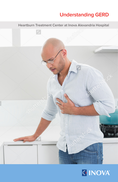# **Understanding GERD**

**Heartburn Treatment Center at Inova Alexandria Hospital**



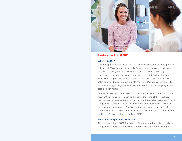

### **Understanding GERD**

#### **What is GERD?**

Gastroesophageal reflux disease (GERD) occurs when the lower esophageal sphincter (LES) opens spontaneously, for varying periods of time, or does not close properly and stomach contents rise up into the esophagus. The esophagus is the tube that carries food from the mouth to the stomach. The LES is a ring of muscle at the bottom of the esophagus that acts like a valve between the esophagus and stomach. GERD is also called acid reflux because the digestive juices and food that rises up into the esophagus has acid mixed in with it.

When acid reflux occurs, food or fluid can often be tasted in the back of the mouth. When refluxed stomach acid touches the lining of the esophagus it may cause a burning sensation in the chest or throat called heartburn or acid indigestion. Occasional reflux is common and does not necessarily mean one has a serious problem. Persistent reflux that occurs more than twice a week is considered GERD, and it can eventually lead to more serious health problems. People of all ages can have GERD.

#### **What are the symptoms of GERD?**

The main symptom of GERD in adults is frequent heartburn, also called acid indigestion. Patients often describe a burning type pain in the lower part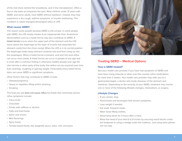of the mid-chest, behind the breastbone, and in the mid-abdomen. Often a foul or oily taste accompanies the pain. Most children under 12 years with GERD, and some adults, have GERD without heartburn. Instead, they may experience a dry cough, asthma symptoms, or trouble swallowing. This condition is called laryngeal pharyngeal reflux or LPR.

#### **What causes GERD?**

The reason some people develop GERD is still unclear. In some people with GERD, the LES simply relaxes at an inappropriate time. Anatomical abnormalities such as a hiatal hernia may also contribute to GERD. A **hiatal hernia** occurs when the upper part of the stomach and the LES move above the diaphragm (a thin layer of muscle that separates the stomach cavity from the chest cavity). When the LES is in its normal position the diaphragm helps keep stomach contents and acid from rising up into the esophagus. When a hiatal hernia is present, acid and non-acid reflux can occur more easily. A hiatal hernia can occur in people of any age and is most often a common finding in otherwise healthy people over age 50. Like hernias in other parts of the body, this defect can be acquired over time from straining, coughing or gaining weight. Fortunately every hiatal hernia does not cause GERD or significant symptoms.

Other factors that may contribute to GERD include:

- Obesity/pregnancy
- Heavy or repetitive lifting and/or straining
- Smoking

The food you eat **does not cause reflux** but foods that commonly worsen reflux symptoms include:

- Citrus fruits
- Chocolate
- Drinks with caffeine or alcohol
- Fatty and fried foods
- • Garlic and onions
- Mint flavorings
- Spicy foods
- Tomato-based foods, like spaghetti sauce, salsa, chili, and pizza



### **Treating GERD – Medical Options**

#### **How is GERD treated?**

See your health care provider if you have had symptoms of GERD and have been using antacids or other over-the-counter reflux medications for more than 2 weeks. Your health care provider may refer you to a gastroenterologist, a doctor who treats diseases of the stomach and intestines. Depending on the severity of your GERD, treatment may involve one or more of the following lifestyle changes, medications, or surgery.

#### **Lifestyle Changes**

- If you smoke, stop.
- Avoid foods and beverages that worsen symptoms.
- Lose weight if needed.
- Eat small, frequent meals.
- Wear loose-fitting clothes.
- Avoid lying down for 3 hours after a meal.
- Raise the head of your bed 6 to 8 inches by securing wood blocks under the bedposts or using a wedge under the mattress. Just using extra pillows will not help.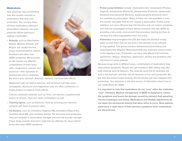### **Medications**

Your physician may recommend over-the-counter antacids or medications that stop acid production. You can buy many of these medications without a prescription; however, see your physician before starting or adding a medication.

• **Antacids**, such as Alka-Seltzer, Maalox, Mylanta, Rolaids, and Riopan, are usually the first drugs recommended to relieve heartburn and other mild GERD symptoms. Many brands on the market use different combinations of three basic salts—magnesium, calcium, and aluminum—with hydroxide or bicarbonate ions to neutralize



the acid in your stomach. Antacids, however, can have side effects.

Magnesium salt can lead to diarrhea, and aluminum salt may cause constipation. Aluminum and magnesium salts are often combined in a single product to balance these effects.

Calcium carbonate antacids, such as Tums, can also be a supplemental source of calcium. They can cause constipation as well.

- Foaming agents, such as Gaviscon, work by covering your stomach contents with foam to prevent reflux.
- • **H2 blockers**, such as cimetidine (Tagamet HB), famotidine (Pepcid AC), nizatidine (Axid AR), and ranitidine (Zantac 75), decrease acid production. They are available in prescription strength and over-the-counter strength. These drugs provide short-term relief and are effective for about half of those who have GERD symptoms.
- • **Proton pump inhibitors** include medications like: omeprazole (Prilosec, Zegerid), lansoprazole (Prevacid), pantoprazole (Protonix), rabeprazole (Aciphex) esomeprazole (Nexium), dexlansoprazole (Dexilant) which are available by prescription. Many of these are now available in overthe-counter strengths that do not require a prescription. Proton pump inhibitors are more effective than H2 blockers and can relieve symptoms and heal the esophageal lining in almost everyone who has GERD by providing a less acidic environment that promotes healing but they do not stop the reflux/regurgitation from occurring. .
- • **Prokinetics** help strengthen the LES and make the stomach empty faster so that there may be less fluid in the stomach to be refluxed or regurgitated. This group includes bethanechol (Urecholine) and metoclopramide (Reglan). Metoclopramide also improves muscle action in the digestive tract. Prokinetics can have side effects that limit their usefulness—fatigue, sleepiness, depression, anxiety and problems with movement in some patients.

Because drugs work in different ways, combinations of medications may help control symptoms. People who get heartburn after eating may take both antacids and H2 blockers. The antacids work first to neutralize the acid in the stomach, and then the H2 blockers act on acid production. By the time the antacid stops working, the H2 blocker will have stopped acid production. Your physician is the best source of information about how to use medications for GERD.

**It is important to note that medications do not "cure" reflux like antibiotics "cure" infections. Medical management of GERD is designed to control the symptoms and lessen the damage caused by stomach fluid splashing into the esophagus and airway. Medications and lifestyle adjustments do not repair the mechanical defects that allow reflux to occur. Most patients experience a rapid return of their previous symptoms when medications are discontinued.**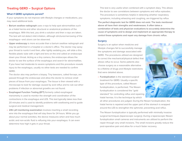## **Treating GERD – Surgical Options**

#### **What if GERD symptoms persist?**

If your symptoms do not improve with lifestyle changes or medications, you may need additional tests.

- • **Barium swallow radiograph** uses x-rays to help spot abnormalities such as a hiatal hernia and other structural or anatomical problems of the esophagus. With this test, you drink a solution and then x-rays are taken. The test will not detect mild irritation, although strictures/narrowing of the esophagus—and ulcers can be observed.
- • **Upper endoscopy** is more accurate than a barium swallow radiograph and may be performed in a hospital or a doctor's office. The doctor may spray your throat to numb it and then, after lightly sedating you, will slide a thin, flexible plastic tube with a light and lens on the end called an endoscope down your throat. Acting as a tiny camera, the endoscope allows the doctor to see the surface of the esophagus and search for abnormalities. If you have had moderate to severe symptoms and this procedure reveals injury to the esophagus, usually no other tests are needed to confirm GERD.

The doctor also may perform a biopsy. Tiny tweezers, called forceps, are passed through the endoscope and allow the doctor to remove small pieces of tissue from your esophagus. The tissue is then viewed with a microscope to look for damage caused by acid reflux and to rule out other problems if infection or abnormal growths are not found.

- • **Esophageal Function Testing (EFT)** formerly called esophageal manometry is used to monitor the strength and coordination of the contractions in the esophagus and LES. This test typically takes less than 20 minutes and is used to identify problems with swallowing and to guide surgical and medical management.
- • **24hr pH monitoring examination** involves inserting a small recording wire into the esophagus that will stay there for 24 hours. While you go about your normal activities, the device measures when and how much acidic and non-acidic fluid is refluxing into your esophagus. It can even determine how high it gets in your throat.

This test is very useful when combined with a symptom diary. This allows the doctor to see correlations between symptoms and reflux episodes. The procedure is sometimes helpful in detecting whether respiratory symptoms, including wheezing and coughing, are triggered by reflux. **The perfect diagnostic test for GERD does not exist. The tests mentioned above all have their strengths and weaknesses. It often takes a combination of tests and physician evaluations to accurately determine the cause of symptoms and to design and implement an appropriate therapy to control those symptoms and repair any damage from chronic reflux.**

#### **Surgery**

Surgery is an option when medicine and lifestyle changes fail to successfully manage the symptoms and damage associated with GERD. The procedures utilized are designed to correct the mechanical/physical defect that allows reflux to occur. Some patients also choose surgery as a reasonable alternative to a lifetime of drugs and lifestyle restrictions that were detailed above.

• **Fundoplication** is the standard surgical treatment for GERD. Usually a specific type of this procedure, called Nissen fundoplication, is performed. The Nissen fundoplication is considered the "gold standard" for controlling reflux and repairing hiatal hernias. It is the technique by which

all other procedures are judged. During the Nissen fundoplication, the hiatal hernia is repaired and the upper part of the stomach is wrapped around the LES to strengthen the sphincter, preventing acid reflux.

The Nissen fundoplication is typically performed with minimally invasive surgical techniques (laparoscopic surgery). During a laparoscopic Nissen fundoplication small cameras and instruments are utilized to perform the repair through very small incisions. The small incisions greatly reduce the post-operative pain and allow for a much faster recovery.

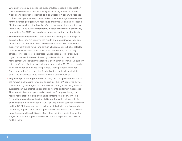When performed by experienced surgeons, laparoscopic fundoplication is safe and effective in people of all ages, including infants. A "Robotic" Nissen Fundoplication is identical to a laparoscopic Nissen with respect to the actual operative steps. It may offer some advantage in some cases for the operating surgeon with respect to improved vision and dissection. Most people can leave the hospital after an overnight stay and return to work in 1 to 2 weeks. **More importantly, because the reflux is controlled, medications for GERD are usually no longer needed for most patients.**

- • **Endoscopic techniques** have been developed in the past to attempt to control reflux. They are done via the mouth and do not involve incisions or extended recovery but none have show the efficacy of laparoscopic surgery at controlling reflux long term in all patients but in highly selected patients with mild disease and small hiatal hernias they can be very effective. The Trans-oral Incisionless Fundoplication or TIF procedure is good example. It is often chosen by patients who find medical management unsatisfactory but feel that even a minimally invasive surgery is to big of a step for them. A similar procedure called MUSE has recently been developed and placed into practice. These procedures do not " burn any bridges" so a surgical fundoplication can be done at a latter date if the incisionless route doesn't maintain durable results.
- • **Magnetic Sphincter Augmentation** utilizing the **LINX procedure** is one of the newest mechanisms for controlling reflux. This FDA approved device is implanted by the Surgeon around the LES utilizing a minimally invasive surgical technique that takes less than an hour to perform in most cases. The magnetic bracelet opens and closes to let food pass through but resists regurgitation of acid and gastric contents from below. Unlike a Nissen the repaired valve has the ability to relax, which allows belching and vomiting to occur if needed. Dr. Gillian was the first Surgeon in Virginia and the DC Metro area approved to implant this device and is currently the leading implant center for this procedure in the Eastern United States. Inova Alexandria Hospital is one of only four training sites in the country surgeons to learn this procedure because of the expertise of Dr. Gillian and his team.